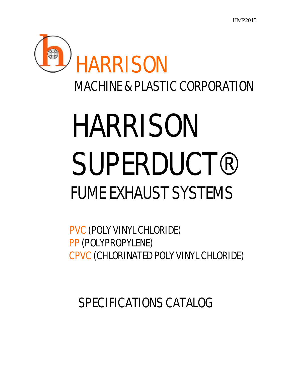

# HARRISON SUPERDUCT®<br>FUME EXHAUST SYSTEMS

## PVC (POLY VINYL CHLORIDE) PP (POLYPROPYLENE) CPVC (CHLORINATED POLY VINYL CHLORIDE)

SPECIFICATIONS CATALOG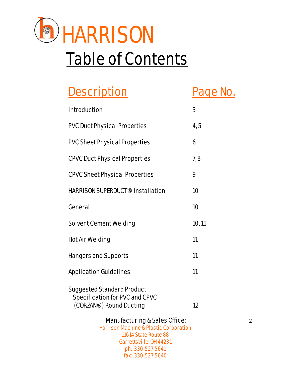

## **Table of Contents**

## Description Page No.

| <b>Introduction</b>                                                                                   | 3      |                |
|-------------------------------------------------------------------------------------------------------|--------|----------------|
| <b>PVC Duct Physical Properties</b>                                                                   | 4, 5   |                |
| <b>PVC Sheet Physical Properties</b>                                                                  | 6      |                |
| <b>CPVC Duct Physical Properties</b>                                                                  | 7,8    |                |
| <b>CPVC Sheet Physical Properties</b>                                                                 | 9      |                |
| <b>HARRISON SUPERDUCT<sup>®</sup> Installation</b>                                                    | 10     |                |
| General                                                                                               | 10     |                |
| <b>Solvent Cement Welding</b>                                                                         | 10, 11 |                |
| <b>Hot Air Welding</b>                                                                                | 11     |                |
| <b>Hangers and Supports</b>                                                                           | 11     |                |
| <b>Application Guidelines</b>                                                                         | 11     |                |
| <b>Suggested Standard Product</b><br><b>Specification for PVC and CPVC</b><br>(CORZAN®) Round Ducting | 12     |                |
| <b>Manufacturing &amp; Sales Office:</b>                                                              |        | $\overline{2}$ |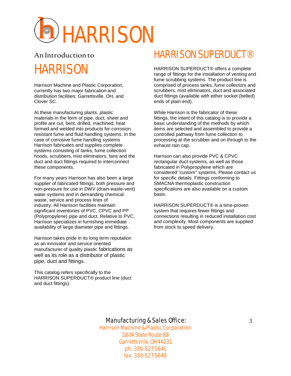

## An Introduction to HARRISON

Harrison Machine and Plastic Corporation, currently has two major fabrication and distribution facilities: Garrettsville, OH, and Clover SC.

At these manufacturing plants, plastic materials in the form of pipe, duct, sheet and profile are cut, bent, drilled, machined, heat formed and welded into products for corrosion resistant fume and fluid handling systems. In the case of corrosive fume handling systems Harrison fabricates and supplies complete systems consisting of tanks, fume collection hoods, scrubbers, mist eliminators, fans and the duct and duct fittings required to interconnect these components.

For many years Harrison has also been a large supplier of fabricated fittings, both pressure and non-pressure for use in DWV (drain-waste-vent) water systems and in demanding chemical waste, service and process lines of industry. All Harrison facilities maintain significant inventories of PVC, CPVC and PP (Polypropylene) pipe and duct. Relative to PVC, Harrison specializes in furnishing immediate availability of large diameter pipe and fittings.

Harrison takes pride in its long term reputation as an innovator and service oriented manufacturer of quality plastic fabrications as well as its role as a distributor of plastic pipe, duct and fittings.

This catalog refers specifically to the HARRISON SUPERDUCT® product line (duct and duct fittings).

### HARRISON SUPERDUCT®

HARRISON SUPERDUCT® offers a complete range of fittings for the installation of venting and fume scrubbing systems. The product line is comprised of process tanks, fume collectors and scrubbers, mist eliminators, duct and associated duct fittings (available with either socket (belled) ends of plain end).

While Harrison is the fabricator of these fittings, the intent of this catalog is to provide a basic understanding of the methods by which items are selected and assembled to provide a controlled pathway from fume collection to processing at the scrubber and on through to the exhaust rain cap.

Harrison can also provide PVC & CPVC rectangular duct systems, as well as those fabricated in Polypropylene which are considered "custom" systems. Please contact us for specific details. Fittings conforming to SMACNA thermoplastic construction specifications are also available on a custom basis.

HARRISON SUPERDUCT® is a time-proven system that requires fewer fittings and connections resulting in reduced installation cost and complexity. Most components are supplied from stock to speed delivery.

#### Manufacturing & Sales Office: 3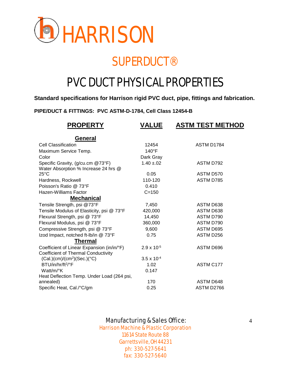

## **SUPERDUCT®**

## PVC DUCT PHYSICAL PROPERTIES

#### **Standard specifications for Harrison rigid PVC duct, pipe, fittings and fabrication.**

**PIPE/DUCT & FITTINGS: PVC ASTM-D-1784, Cell Class 12454-B**

| <b>PROPERTY</b>                                                                   | <b>VALUE</b>         | <b>ASTM TEST METHOD</b> |
|-----------------------------------------------------------------------------------|----------------------|-------------------------|
| <u>General</u>                                                                    |                      |                         |
| <b>Cell Classification</b>                                                        | 12454                | ASTM D1784              |
| Maximum Service Temp.                                                             | $140^{\circ}$ F      |                         |
| Color                                                                             | Dark Gray            |                         |
| Specific Gravity, (g/cu.cm @73°F)<br>Water Absorption % Increase 24 hrs @         | $1.40 \pm 0.02$      | ASTM D792               |
| 25°C                                                                              | 0.05                 | ASTM D570               |
| Hardness, Rockwell                                                                | 110-120              | <b>ASTM D785</b>        |
| Poisson's Ratio @ 73°F                                                            | 0.410                |                         |
| <b>Hazen-Williams Factor</b>                                                      | $C = 150$            |                         |
| <u>Mechanical</u>                                                                 |                      |                         |
| Tensile Strength, psi @73°F                                                       | 7,450                | ASTM D638               |
| Tensile Modulus of Elasticity, psi @ 73°F                                         | 420,000              | ASTM D638               |
| Flexural Strength, psi @ 73°F                                                     | 14,450               | ASTM D790               |
| Flexural Modulus, psi @ 73°F                                                      | 360,000              | ASTM D790               |
| Compressive Strength, psi @ 73°F                                                  | 9,600                | ASTM D695               |
| Izod Impact, notched ft-Ib/in @ 73°F                                              | 0.75                 | ASTM D256               |
| <b>Thermal</b>                                                                    |                      |                         |
| Coefficient of Linear Expansion (in/in/°F)<br>Coefficient of Thermal Conductivity | $2.9 \times 10^{-5}$ | ASTM D696               |
| $(Cal.)(cm)/(cm2)(Sec.)(°C)$                                                      | $3.5 \times 10^{-4}$ |                         |
| BTU/in/hr/ft <sup>2</sup> /°F                                                     | 1.02                 | ASTM C177               |
| Watt/m/°K                                                                         | 0.147                |                         |
| Heat Deflection Temp. Under Load (264 psi,                                        |                      |                         |
| annealed)                                                                         | 170                  | ASTM D648               |
| Specific Heat, Cal./°C/gm                                                         | 0.25                 | ASTM D2766              |

#### Manufacturing & Sales Office: 4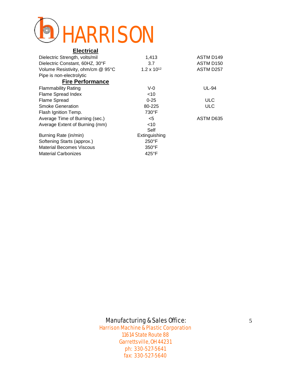

#### **Electrical**

| Dielectric Strength, volts/mil    | 1,413                | ASTM D <sub>149</sub> |
|-----------------------------------|----------------------|-----------------------|
| Dielectric Constant, 60HZ, 30°F   | 3.7                  | ASTM D <sub>150</sub> |
| Volume Resistivity, ohm/cm @ 95°C | $1.2 \times 10^{12}$ | ASTM D257             |
| Pipe is non-electrolytic          |                      |                       |
| <b>Fire Performance</b>           |                      |                       |
| <b>Flammability Rating</b>        | $V-0$                | <b>UL-94</b>          |
| <b>Flame Spread Index</b>         | $<$ 10               |                       |
| <b>Flame Spread</b>               | $0 - 25$             | <b>ULC</b>            |
| <b>Smoke Generation</b>           | 80-225               | <b>ULC</b>            |
| Flash Ignition Temp.              | 730°F                |                       |
| Average Time of Burning (sec.)    | $<$ 5                | ASTM D635             |
| Average Extent of Burning (mm)    | ~10                  |                       |
|                                   | Self                 |                       |
| Burning Rate (in/min)             | Extinguishing        |                       |
| Softening Starts (approx.)        | $250^{\circ}$ F      |                       |
| <b>Material Becomes Viscous</b>   | $350^{\circ}$ F      |                       |
| <b>Material Carbonizes</b>        | 425°F                |                       |

#### Manufacturing & Sales Office: 5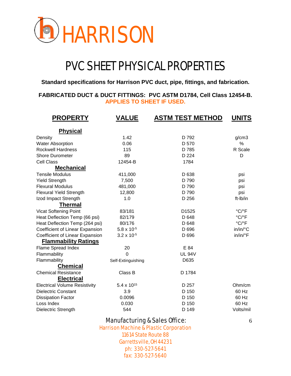

## PVC SHEET PHYSICAL PROPERTIES

**Standard specifications for Harrison PVC duct, pipe, fittings, and fabrication.**

#### **FABRICATED DUCT & DUCT FITTINGS: PVC ASTM D1784, Cell Class 12454-B. APPLIES TO SHEET IF USED.**

| <b>PROPERTY</b>                      | <b>ASTM TEST METHOD</b><br><b>VALUE</b> |                   | <b>UNITS</b>               |  |
|--------------------------------------|-----------------------------------------|-------------------|----------------------------|--|
| <b>Physical</b>                      |                                         |                   |                            |  |
| Density                              | 1.42                                    | D 792             | g/cm3                      |  |
| <b>Water Absorption</b>              | 0.06                                    | D 570             | $\%$                       |  |
| <b>Rockwell Hardness</b>             | 115                                     | D 785             | R Scale                    |  |
| <b>Shore Durometer</b>               | 89                                      | D 224             | D                          |  |
| <b>Cell Class</b>                    | 12454-B                                 | 1784              |                            |  |
| <b>Mechanical</b>                    |                                         |                   |                            |  |
| <b>Tensile Modulus</b>               | 411,000                                 | D 638             | psi                        |  |
| <b>Yield Strength</b>                | 7,500                                   | D 790             | psi                        |  |
| <b>Flexural Modulus</b>              | 481,000                                 | D 790             | psi                        |  |
| <b>Flexural Yield Strength</b>       | 12,800                                  | D 790             | psi                        |  |
| Izod Impact Strength                 | 1.0                                     | D 256             | ft-Ib/in                   |  |
| <b>Thermal</b>                       |                                         |                   |                            |  |
| Vicat Softening Point                | 83/181                                  | D <sub>1525</sub> | $^{\circ}$ C/ $^{\circ}$ F |  |
| Heat Deflection Temp (66 psi)        | 82/179                                  | D 648             | °C/°F                      |  |
| Heat Deflection Temp (264 psi)       | 80/176                                  | D 648             | °C/°F                      |  |
| Coefficient of Linear Expansion      | $5.8 \times 10^{-5}$                    | D 696             | in/in/°C                   |  |
| Coefficient of Linear Expansion      | $3.2 \times 10^{-5}$                    | D 696             | in/in/°F                   |  |
| <b>Flammability Ratings</b>          |                                         |                   |                            |  |
| Flame Spread Index                   | 20                                      | E 84              |                            |  |
| Flammability                         | $\overline{0}$                          | <b>UL 94V</b>     |                            |  |
| Flammability                         | Self-Extinguishing                      | D635              |                            |  |
| <b>Chemical</b>                      |                                         |                   |                            |  |
| <b>Chemical Resistance</b>           | Class B                                 | D 1784            |                            |  |
| <b>Electrical</b>                    |                                         |                   |                            |  |
| <b>Electrical Volume Resistivity</b> | $5.4 \times 10^{15}$                    | D 257             | Ohm/cm                     |  |
| <b>Dielectric Constant</b>           | 3.9                                     | D 150             | 60 Hz                      |  |
| <b>Dissipation Factor</b>            | 0.0096                                  | D 150             | 60 Hz                      |  |
| Loss Index                           | 0.030                                   | D 150             | 60 Hz                      |  |
| Dielectric Strength                  | 544                                     | D 149             | Volts/mil                  |  |

#### Manufacturing & Sales Office: 6 6 6 6 6 6 6 7 7 8 7 7 8 7 7 8 7 7 8 7 7 8 7 7 8 7 7 8 7 7 8 7 7 8 7 7 8 7 7 8 7 7 8 7 7 8 7 7 8 7 7 8 7 7 8 7 7 8 7 7 8 7 7 8 7 7 8 7 7 8 7 7 8 7 7 8 7 7 8 7 7 8 7 7 8 7 7 8 7 7 8 7 7 8 7 7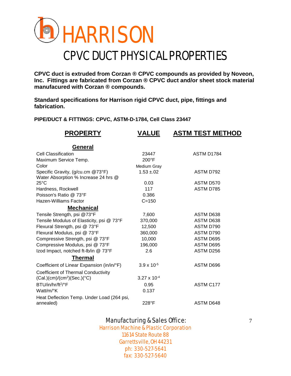

## CPVC DUCT PHYSICAL PROPERTIES

**CPVC duct is extruded from Corzan ® CPVC compounds as provided by Noveon, Inc. Fittings are fabricated from Corzan ® CPVC duct and/or sheet stock material manufacured with Corzan ® compounds.**

**Standard specifications for Harrison rigid CPVC duct, pipe, fittings and fabrication.**

**PIPE/DUCT & FITTINGS: CPVC, ASTM-D-1784, Cell Class 23447**

| <b>VALUE</b>          | <b>ASTM TEST METHOD</b>                                                             |
|-----------------------|-------------------------------------------------------------------------------------|
|                       |                                                                                     |
|                       | ASTM D1784                                                                          |
|                       |                                                                                     |
|                       |                                                                                     |
|                       | ASTM D792                                                                           |
|                       |                                                                                     |
| 0.03                  | ASTM D570                                                                           |
|                       | ASTM D785                                                                           |
|                       |                                                                                     |
| $C = 150$             |                                                                                     |
|                       |                                                                                     |
|                       | ASTM D638                                                                           |
| 370,000               | ASTM D638                                                                           |
| 12,500                | ASTM D790                                                                           |
| 360,000               | ASTM D790                                                                           |
| 10,000                | ASTM D695                                                                           |
| 196,000               | ASTM D695                                                                           |
| 2.6                   | ASTM D256                                                                           |
|                       |                                                                                     |
| $3.9 \times 10^{-5}$  | ASTM D696                                                                           |
|                       |                                                                                     |
| $3.27 \times 10^{-4}$ |                                                                                     |
| 0.95                  | ASTM C177                                                                           |
| 0.137                 |                                                                                     |
|                       |                                                                                     |
| 228°F                 | <b>ASTM D648</b>                                                                    |
|                       | 23447<br>$200^{\circ}$ F<br>Medium Gray<br>$1.53 \pm 0.02$<br>117<br>0.386<br>7,600 |

#### Manufacturing & Sales Office: 7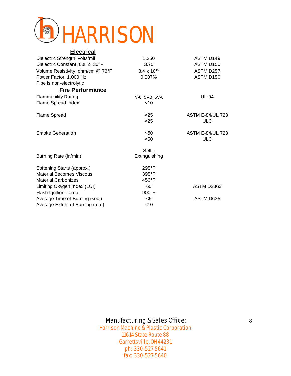

#### **Electrical**

| Dielectric Strength, volts/mil    | 1,250                | ASTM D149               |
|-----------------------------------|----------------------|-------------------------|
| Dielectric Constant, 60HZ, 30°F   | 3.70                 | ASTM D150               |
| Volume Resistivity, ohm/cm @ 73°F | $3.4 \times 10^{15}$ | ASTM D257               |
| Power Factor, 1,000 Hz            | 0.007%               | ASTM D150               |
| Pipe is non-electrolytic          |                      |                         |
| <b>Fire Performance</b>           |                      |                         |
| <b>Flammability Rating</b>        | V-0, 5VB, 5VA        | <b>UL-94</b>            |
| Flame Spread Index                | $<$ 10               |                         |
| <b>Flame Spread</b>               | < 25                 | <b>ASTM E-84/UL 723</b> |
|                                   | $25$                 | <b>ULC</b>              |
| <b>Smoke Generation</b>           | ≤50                  | <b>ASTM E-84/UL 723</b> |
|                                   | < 50                 | <b>ULC</b>              |
|                                   | Self -               |                         |
| Burning Rate (in/min)             | Extinguishing        |                         |
| Softening Starts (approx.)        | $295^{\circ}$ F      |                         |
| <b>Material Becomes Viscous</b>   | 395°F                |                         |
| <b>Material Carbonizes</b>        | 450°F                |                         |
| Limiting Oxygen Index (LOI)       | 60                   | ASTM D2863              |
| Flash Ignition Temp.              | 900°F                |                         |
| Average Time of Burning (sec.)    | $<$ 5                | ASTM D635               |
| Average Extent of Burning (mm)    | $<$ 10               |                         |
|                                   |                      |                         |

#### Manufacturing & Sales Office: 8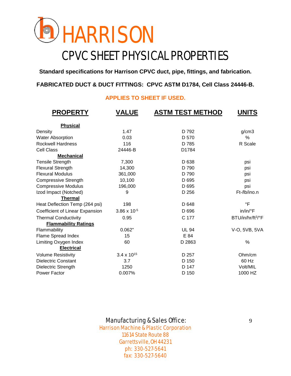

## CPVC SHEET PHYSICAL PROPERTIES

**Standard specifications for Harrison CPVC duct, pipe, fittings, and fabrication.**

#### **FABRICATED DUCT & DUCT FITTINGS: CPVC ASTM D1784, Cell Class 24446-B.**

#### **APPLIES TO SHEET IF USED.**

| <b>PROPERTY</b>                 | <b>VALUE</b>         | <b>ASTM TEST METHOD</b> | <b>UNITS</b>                  |
|---------------------------------|----------------------|-------------------------|-------------------------------|
| <b>Physical</b>                 |                      |                         |                               |
| Density                         | 1.47                 | D 792                   | g/cm3                         |
| <b>Water Absorption</b>         | 0.03                 | D 570                   | %                             |
| <b>Rockwell Hardness</b>        | 116                  | D 785                   | R Scale                       |
| <b>Cell Class</b>               | 24446-B              | D1784                   |                               |
| <b>Mechanical</b>               |                      |                         |                               |
| <b>Tensile Strength</b>         | 7,300                | D 638                   | psi                           |
| <b>Flexural Strength</b>        | 14,300               | D 790                   | psi                           |
| <b>Flexural Modulus</b>         | 361,000              | D 790                   | psi                           |
| <b>Compressive Strength</b>     | 10,100               | D 695                   | psi                           |
| <b>Compressive Modulus</b>      | 196,000              | D 695                   | psi                           |
| Izod Impact (Notched)           | 9                    | D 256                   | Ft-/lb/ino.n                  |
| <b>Thermal</b>                  |                      |                         |                               |
| Heat Deflection Temp (264 psi)  | 198                  | D 648                   | °F                            |
| Coefficient of Linear Expansion | 3.86 x 10-5          | D 696                   | in/in/°F                      |
| <b>Thermal Conductivity</b>     | 0.95                 | C 177                   | BTU/in/hr/ft <sup>3/°</sup> F |
| <b>Flammability Ratings</b>     |                      |                         |                               |
| Flammability                    | 0.062"               | <b>UL 94</b>            | V-O, 5VB, 5VA                 |
| Flame Spread Index              | 15                   | E 84                    |                               |
| Limiting Oxygen Index           | 60                   | D 2863                  | $\%$                          |
| <b>Electrical</b>               |                      |                         |                               |
| <b>Volume Resistivity</b>       | $3.4 \times 10^{15}$ | D 257                   | Ohm/cm                        |
| <b>Dielectric Constant</b>      | 3.7                  | D 150                   | 60 Hz                         |
| Dielectric Strength             | 1250                 | D 147                   | Volt/MIL                      |
| Power Factor                    | 0.007%               | D 150                   | 1000 HZ                       |

#### Manufacturing & Sales Office: 9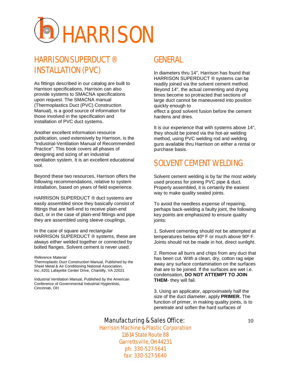

#### HARRISON SUPERDUCT ® INSTALLATION (PVC)

As fittings described in our catalog are built to Harrison specifications, Harrison can also provide systems to SMACNA specifications upon request. The SMACNA manual (Thermoplastics Duct (PVC) Construction Manual), is a good source of information for those involved in the specification and installation of PVC duct systems.

Another excellent information resource publication, used extensively by Harrison, is the "Industrial-Ventilation Manual of Recommended Practice". This book covers all phases of designing and sizing of an industrial ventilation system. It is an excellent educational tool.

Beyond these two resources, Harrison offers the following recommendations, relative to system installation, based on years of field experience.

HARRISON SUPERDUCT ® duct systems are easily assembled since they basically consist of fittings that are bell-end to receive plain-end duct, or in the case of plain-end fittings and pipe they are assembled using sleeve couplings.

In the case of square and rectangular HARRISON SUPERDUCT ® systems, these are always either welded together or connected by bolted flanges. Solvent cement is never used.

#### *Reference Material*

Thermoplastic Duct Construction Manual, Published by the Sheet Metal & Air Conditioning National Association, Inc.,4201 Lafayette Center Drive, Chantilly, VA 22021

Industrial Ventilation Manual, Published by the American Conference of Governmental Industrial Hygientists, Cincinnati, OH

#### GENERAL

In diameters thru 14", Harrison has found that HARRISON SUPERDUCT ® systems can be readily joined via the solvent cement method. Beyond 14", the actual cementing and drying times become so protracted that sections of large duct cannot be maneuvered into position quickly enough to effect a good solvent fusion before the cement hardens and dries.

It is our experience that with systems above 14", they should be joined via the hot-air welding method, using PVC welding rod and welding guns available thru Harrison on either a rental or purchase basis.

#### SOLVENT CEMENT WELDING

Solvent cement welding is by far the most widely used process for joining PVC pipe & duct. Properly assembled, it is certainly the easiest way to make quality sealed joints.

To avoid the needless expense of repairing, perhaps back-welding a faulty joint, the following key points are emphasized to ensure quality ioints:

1. Solvent cementing should not be attempted at temperatures below 40º F or much above 90º F. Joints should not be made in hot, direct sunlight.

2. Remove all burrs and chips from any duct that has been cut. With a clean, dry, cotton rag wipe away any surface contamination on the surfaces that are to be joined. If the surfaces are wet i.e. condensation, **DO NOT ATTEMPT TO JOIN THEM**- they will fail.

3. Using an applicator, approximately half the size of the duct diameter, apply **PRIMER.** The function of primer, in making quality joints, is to penetrate and soften the hard surfaces of

#### Manufacturing & Sales Office: 10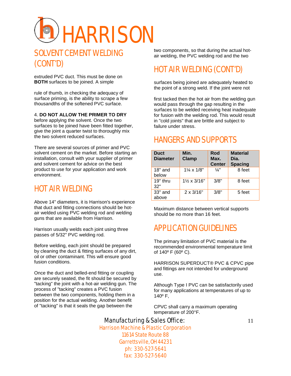

#### SOLVENT CEMENT WELDING (CONT'D)

extruded PVC duct. This must be done on **BOTH** surfaces to be joined. A simple

rule of thumb, in checking the adequacy of surface priming, is the ability to scrape a few thousandths of the softened PVC surface.

#### 4. **DO NOT ALLOW THE PRIMER TO DRY**

before applying the solvent. Once the two surfaces to be joined have been fitted together, give the joint a quarter twist to thoroughly mix the two solvent reduced surfaces.

There are several sources of primer and PVC solvent cement on the market. Before starting an installation, consult with your supplier of primer and solvent cement for advice on the best product to use for your application and work environment.

#### HOT AIR WELDING

Above 14" diameters, it is Harrison's experience that duct and fitting connections should be hotair welded using PVC welding rod and welding guns that are available from Harrison.

Harrison usually welds each joint using three passes of 5/32" PVC welding rod.

Before welding, each joint should be prepared by cleaning the duct & fitting surfaces of any dirt, oil or other contaminant. This will ensure good fusion conditions.

Once the duct and belled-end fitting or coupling are securely seated, the fit should be secured by "tacking" the joint with a hot-air welding gun. The process of "tacking" creates a PVC fusion between the two components, holding them in a position for the actual welding. Another benefit of "tacking" is that it seals the gap between the

two components, so that during the actual hotair welding, the PVC welding rod and the two

#### HOT AIR WELDING (CONT'D)

surfaces being joined are adequately heated to the point of a strong weld. If the joint were not

first tacked then the hot air from the welding gun would pass through the gap resulting in the surfaces to be welded receiving heat inadequate for fusion with the welding rod. This would result in "cold joints" that are brittle and subject to failure under stress.

#### HANGERS AND SUPPORTS

| <b>Duct</b><br><b>Diameter</b> | Min.<br><b>Clamp</b>         | Rod<br>Max.<br><b>Center</b> | <b>Material</b><br>Dia.<br><b>Spacing</b> |
|--------------------------------|------------------------------|------------------------------|-------------------------------------------|
| $18"$ and<br>below             | $1\frac{1}{4} \times 1/8$ "  | $\frac{1}{4}$                | 8 feet                                    |
| $19"$ thru<br>32"              | $1\frac{1}{2} \times 3/16$ " | 3/8"                         | 8 feet                                    |
| 33" and<br>above               | $2 \times 3/16"$             | 3/8"                         | 5 feet                                    |

Maximum distance between vertical supports should be no more than 16 feet.

#### APPLICATION GUIDELINES

The primary limitation of PVC material is the recommended environmental temperature limit of 140º F (60º C).

HARRISON SUPERDUCT® PVC & CPVC pipe and fittings are not intended for underground use.

Although Type I PVC can be satisfactorily used for many applications at temperatures of up to 140º F,

CPVC shall carry a maximum operating temperature of 200°F.

#### Manufacturing & Sales Office: 11